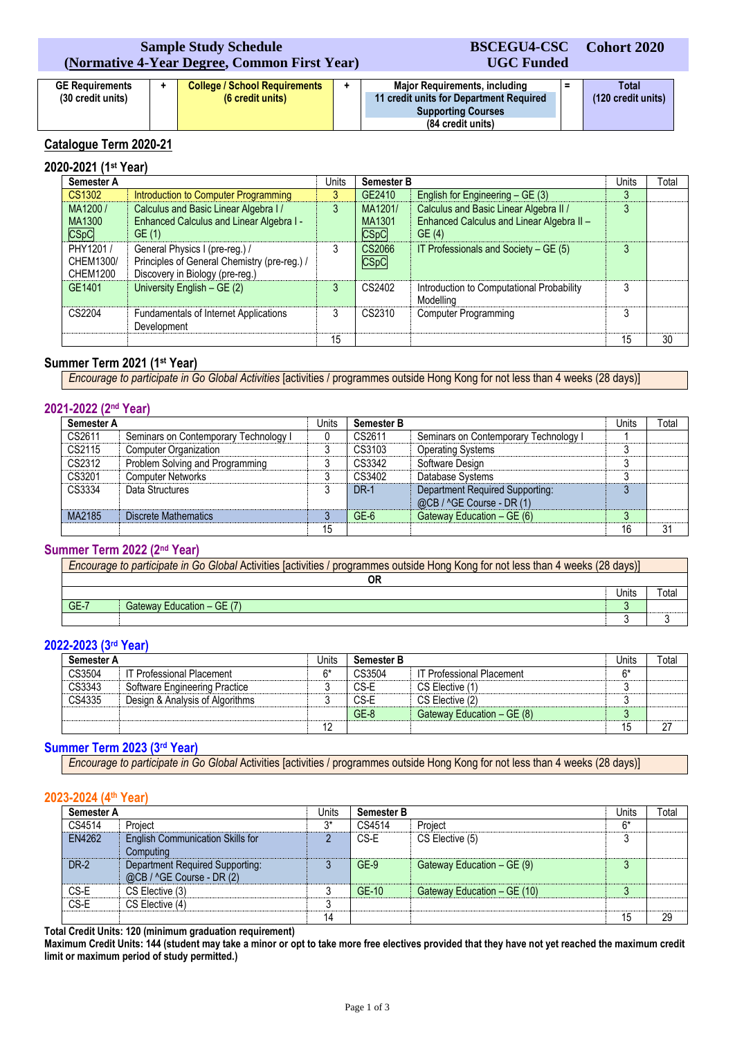## **Sample Study Schedule (Normative 4-Year Degree, Common First Year)**

#### **GE Requirements (30 credit units) + College / School Requirements (6 credit units) + Major Requirements, including 11 credit units for Department Required Supporting Courses (84 credit units) = Total (120 credit units) UGC Funded**

**BSCEGU4-CSC**

**Cohort 2020**

# **Catalogue Term 2020-21**

# **2020-2021 (1st Year)**

| Semester A                                |                                                                                                                   | <b>Units</b> | <b>Semester B</b>         |                                                                                              | Units | Total |
|-------------------------------------------|-------------------------------------------------------------------------------------------------------------------|--------------|---------------------------|----------------------------------------------------------------------------------------------|-------|-------|
| CS1302                                    | Introduction to Computer Programming                                                                              | 3            | GE2410                    | English for Engineering - GE (3)                                                             | 3     |       |
| MA1200/<br>MA1300<br><b>CSpC</b>          | Calculus and Basic Linear Algebra I /<br>Enhanced Calculus and Linear Algebra I -<br>GE(1)                        | 3            | MA1201/<br>MA1301<br>CSpC | Calculus and Basic Linear Algebra II /<br>Enhanced Calculus and Linear Algebra II -<br>GE(4) | 3     |       |
| PHY1201 /<br>CHEM1300/<br><b>CHEM1200</b> | General Physics I (pre-reg.) /<br>Principles of General Chemistry (pre-reg.) /<br>Discovery in Biology (pre-reg.) | 3            | CS2066<br><b>CSpC</b>     | IT Professionals and Society - GE (5)                                                        | 3     |       |
| GE1401                                    | University English $-$ GE (2)                                                                                     | 3            | CS2402                    | Introduction to Computational Probability<br>Modelling                                       | っ     |       |
| CS2204                                    | <b>Fundamentals of Internet Applications</b><br>Development                                                       |              | CS2310                    | <b>Computer Programming</b>                                                                  | 3     |       |
|                                           |                                                                                                                   | 15           |                           |                                                                                              | 15    | 30    |

## **Summer Term 2021 (1st Year)**

*Encourage to participate in Go Global Activities* [activities / programmes outside Hong Kong for not less than 4 weeks (28 days)]

### **2021-2022 (2nd Year)**

| Semester A |                                       | Units | <b>Semester B</b> |                                                              | Units    | $\tau$ otal |
|------------|---------------------------------------|-------|-------------------|--------------------------------------------------------------|----------|-------------|
| CS2611     | Seminars on Contemporary Technology I |       | CS2611            | Seminars on Contemporary Technology I                        |          |             |
| CS2115     | <b>Computer Organization</b>          | າ     | CS3103            | <b>Operating Systems</b>                                     |          |             |
| CS2312     | Problem Solving and Programming       |       | CS3342            | Software Design                                              |          |             |
| CS3201     | <b>Computer Networks</b>              |       | CS3402            | Database Systems                                             |          |             |
| CS3334     | Data Structures                       |       | <b>DR-1</b>       | Department Required Supporting:<br>@CB / ^GE Course - DR (1) |          |             |
| MA2185     | Discrete Mathematics                  |       | $GE-6$            | Gateway Education - GE (6)                                   | $\Omega$ |             |
|            |                                       | 15    |                   |                                                              | 16       | 31          |

### **Summer Term 2022 (2nd Year)**

| Encourage to participate in Go Global Activities [activities / programmes outside Hong Kong for not less than 4 weeks (28 days)] |  |  |  |  |
|----------------------------------------------------------------------------------------------------------------------------------|--|--|--|--|
|                                                                                                                                  |  |  |  |  |
| Jnits                                                                                                                            |  |  |  |  |
| $GE-7$<br>Gateway Education - GE (7)                                                                                             |  |  |  |  |
|                                                                                                                                  |  |  |  |  |

### **2022-2023 (3rd Year)**

| Semester A |                                  | Units | <b>Semester B</b> |                                  | Units | Total |
|------------|----------------------------------|-------|-------------------|----------------------------------|-------|-------|
| CS3504     | <b>IT Professional Placement</b> | F*    | CS3504            | <b>IT Professional Placement</b> | ĥ*    |       |
| CS3343     | Software Engineering Practice    |       | CS-E              | CS Elective (1)                  |       |       |
| CS4335     | Design & Analysis of Algorithms  |       | CS-E              | CS Elective (2)                  |       |       |
|            |                                  |       | $GE-8$            | Gateway Education - GE (8)       |       |       |
|            |                                  | 12    |                   |                                  | 15    | 27    |

### **Summer Term 2023 (3rd Year)**

*Encourage to participate in Go Global* Activities [activities / programmes outside Hong Kong for not less than 4 weeks (28 days)]

### **2023-2024 (4th Year)**

| Semester A  |                                                              | Units | <b>Semester B</b> |                             |    | Total |
|-------------|--------------------------------------------------------------|-------|-------------------|-----------------------------|----|-------|
| CS4514      | Project                                                      | ን*    | CS4514            | Project                     | 6* |       |
| EN4262      | <b>English Communication Skills for</b><br>Computing         |       | CS-E              | CS Elective (5)             | 3  |       |
| <b>DR-2</b> | Department Required Supporting:<br>@CB / ^GE Course - DR (2) |       | $GE-9$            | Gateway Education – GE (9)  | 3  |       |
| CS-E        | CS Elective (3)                                              |       | GE-10             | Gateway Education - GE (10) | ર  |       |
| CS-E        | CS Elective (4)                                              | ◠     |                   |                             |    |       |
|             |                                                              | 14    |                   |                             | 15 | 29    |

**Total Credit Units: 120 (minimum graduation requirement)**

**Maximum Credit Units: 144 (student may take a minor or opt to take more free electives provided that they have not yet reached the maximum credit limit or maximum period of study permitted.)**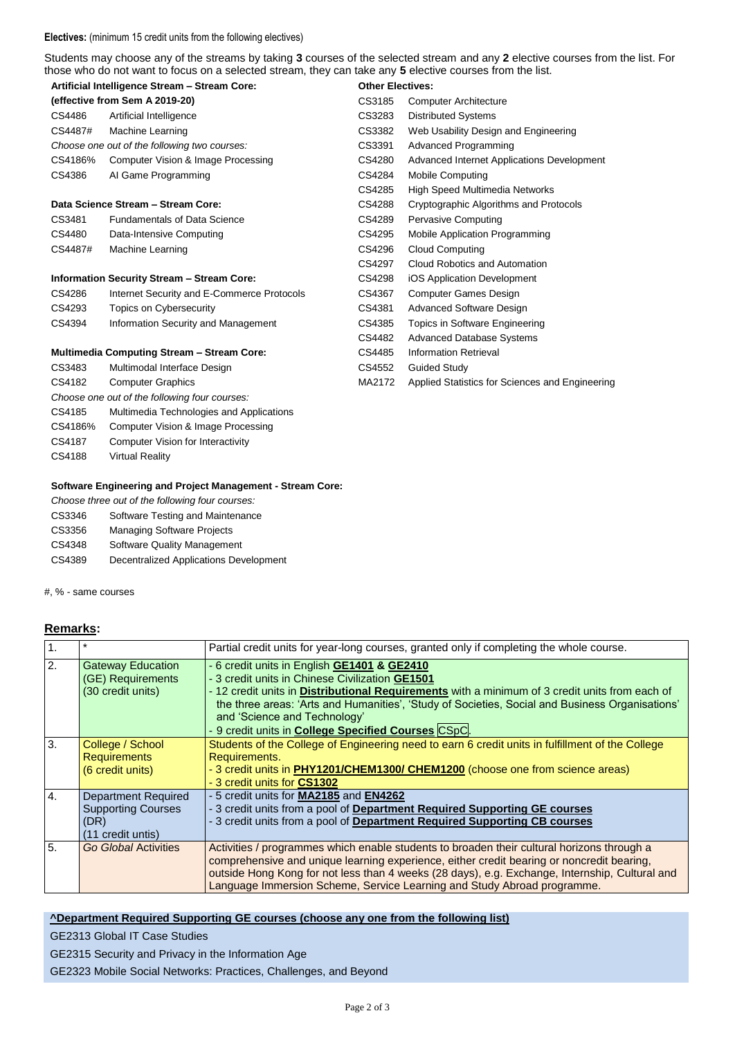#### **Electives:** (minimum 15 credit units from the following electives)

Students may choose any of the streams by taking **3** courses of the selected stream and any **2** elective courses from the list. For those who do not want to focus on a selected stream, they can take any **5** elective courses from the list.

| Artificial Intelligence Stream - Stream Core:     |                                                   | <b>Other Electives:</b> |                                                 |
|---------------------------------------------------|---------------------------------------------------|-------------------------|-------------------------------------------------|
| (effective from Sem A 2019-20)                    |                                                   | CS3185                  | <b>Computer Architecture</b>                    |
| CS4486                                            | Artificial Intelligence                           | CS3283                  | <b>Distributed Systems</b>                      |
| CS4487#                                           | Machine Learning                                  | CS3382                  | Web Usability Design and Engineering            |
|                                                   | Choose one out of the following two courses:      | CS3391                  | <b>Advanced Programming</b>                     |
| CS4186%                                           | Computer Vision & Image Processing                | CS4280                  | Advanced Internet Applications Development      |
| CS4386                                            | Al Game Programming                               | CS4284                  | <b>Mobile Computing</b>                         |
|                                                   |                                                   | CS4285                  | High Speed Multimedia Networks                  |
|                                                   | Data Science Stream - Stream Core:                | CS4288                  | Cryptographic Algorithms and Protocols          |
| CS3481                                            | <b>Fundamentals of Data Science</b>               | CS4289                  | Pervasive Computing                             |
| CS4480                                            | Data-Intensive Computing                          | CS4295                  | Mobile Application Programming                  |
| CS4487#                                           | Machine Learning                                  | CS4296                  | <b>Cloud Computing</b>                          |
|                                                   |                                                   | CS4297                  | Cloud Robotics and Automation                   |
|                                                   | <b>Information Security Stream - Stream Core:</b> | CS4298                  | iOS Application Development                     |
| CS4286                                            | Internet Security and E-Commerce Protocols        | CS4367                  | Computer Games Design                           |
| CS4293                                            | <b>Topics on Cybersecurity</b>                    | CS4381                  | Advanced Software Design                        |
| CS4394                                            | Information Security and Management               | CS4385                  | Topics in Software Engineering                  |
|                                                   |                                                   | CS4482                  | <b>Advanced Database Systems</b>                |
| <b>Multimedia Computing Stream - Stream Core:</b> |                                                   | CS4485                  | <b>Information Retrieval</b>                    |
| CS3483                                            | Multimodal Interface Design                       | CS4552                  | Guided Study                                    |
| CS4182                                            | <b>Computer Graphics</b>                          | MA2172                  | Applied Statistics for Sciences and Engineering |

### **Software Engineering and Project Management - Stream Core:**

*Choose three out of the following four courses:*

*Choose one out of the following four courses:*

CS4185 Multimedia Technologies and Applications CS4186% Computer Vision & Image Processing CS4187 Computer Vision for Interactivity

CS3346 Software Testing and Maintenance

CS3356 Managing Software Projects

CS4188 Virtual Reality

- CS4348 Software Quality Management
- CS4389 Decentralized Applications Development

#, % - same courses

### **Remarks:**

| $\mathbf{1}$ .   |                                                                                      | Partial credit units for year-long courses, granted only if completing the whole course.                                                                                                                                                                                                                                                                                                          |
|------------------|--------------------------------------------------------------------------------------|---------------------------------------------------------------------------------------------------------------------------------------------------------------------------------------------------------------------------------------------------------------------------------------------------------------------------------------------------------------------------------------------------|
| 2.               | <b>Gateway Education</b><br>(GE) Requirements<br>(30 credit units)                   | - 6 credit units in English GE1401 & GE2410<br>- 3 credit units in Chinese Civilization GE1501<br>- 12 credit units in Distributional Requirements with a minimum of 3 credit units from each of<br>the three areas: 'Arts and Humanities', 'Study of Societies, Social and Business Organisations'<br>and 'Science and Technology'<br>- 9 credit units in <b>College Specified Courses</b> CSpC. |
| 3.               | College / School<br><b>Requirements</b><br>(6 credit units)                          | Students of the College of Engineering need to earn 6 credit units in fulfillment of the College<br>Requirements.<br>- 3 credit units in PHY1201/CHEM1300/ CHEM1200 (choose one from science areas)<br>- 3 credit units for CS1302                                                                                                                                                                |
| $\overline{4}$ . | <b>Department Required</b><br><b>Supporting Courses</b><br>(DR)<br>(11 credit untis) | - 5 credit units for MA2185 and EN4262<br>- 3 credit units from a pool of Department Required Supporting GE courses<br>- 3 credit units from a pool of Department Required Supporting CB courses                                                                                                                                                                                                  |
| 5.               | Go Global Activities                                                                 | Activities / programmes which enable students to broaden their cultural horizons through a<br>comprehensive and unique learning experience, either credit bearing or noncredit bearing,<br>outside Hong Kong for not less than 4 weeks (28 days), e.g. Exchange, Internship, Cultural and<br>Language Immersion Scheme, Service Learning and Study Abroad programme.                              |

# **^Department Required Supporting GE courses (choose any one from the following list)**

GE2313 Global IT Case Studies

GE2315 Security and Privacy in the Information Age

GE2323 Mobile Social Networks: Practices, Challenges, and Beyond